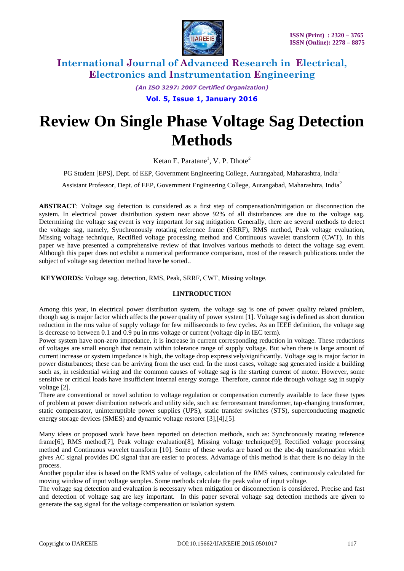

*(An ISO 3297: 2007 Certified Organization)*

**Vol. 5, Issue 1, January 2016**

# **Review On Single Phase Voltage Sag Detection Methods**

Ketan E. Paratane<sup>1</sup>, V. P. Dhote<sup>2</sup>

PG Student [EPS], Dept. of EEP, Government Engineering College, Aurangabad, Maharashtra, India<sup>1</sup>

Assistant Professor, Dept. of EEP, Government Engineering College, Aurangabad, Maharashtra, India<sup>2</sup>

**ABSTRACT**: Voltage sag detection is considered as a first step of compensation/mitigation or disconnection the system. In electrical power distribution system near above 92% of all disturbances are due to the voltage sag. Determining the voltage sag event is very important for sag mitigation. Generally, there are several methods to detect the voltage sag, namely, Synchronously rotating reference frame (SRRF), RMS method, Peak voltage evaluation, Missing voltage technique, Rectified voltage processing method and Continuous wavelet transform (CWT). In this paper we have presented a comprehensive review of that involves various methods to detect the voltage sag event. Although this paper does not exhibit a numerical performance comparison, most of the research publications under the subject of voltage sag detection method have be sorted..

**KEYWORDS:** Voltage sag, detection, RMS, Peak, SRRF, CWT, Missing voltage.

## **I.INTRODUCTION**

Among this year, in electrical power distribution system, the voltage sag is one of power quality related problem, though sag is major factor which affects the power quality of power system [1]. Voltage sag is defined as short duration reduction in the rms value of supply voltage for few milliseconds to few cycles. As an IEEE definition, the voltage sag is decrease to between 0.1 and 0.9 pu in rms voltage or current (voltage dip in IEC term).

Power system have non-zero impedance, it is increase in current corresponding reduction in voltage. These reductions of voltages are small enough that remain within tolerance range of supply voltage. But when there is large amount of current increase or system impedance is high, the voltage drop expressively/significantly. Voltage sag is major factor in power disturbances; these can be arriving from the user end. In the most cases, voltage sag generated inside a building such as, in residential wiring and the common causes of voltage sag is the starting current of motor. However, some sensitive or critical loads have insufficient internal energy storage. Therefore, cannot ride through voltage sag in supply voltage [2].

There are conventional or novel solution to voltage regulation or compensation currently available to face these types of problem at power distribution network and utility side, such as: ferroresonant transformer, tap-changing transformer, static compensator, uninterruptible power supplies (UPS), static transfer switches (STS), superconducting magnetic energy storage devices (SMES) and dynamic voltage restorer [3],[4],[5].

Many ideas or proposed work have been reported on detection methods, such as: Synchronously rotating reference frame[6], RMS method[7], Peak voltage evaluation[8], Missing voltage technique[9], Rectified voltage processing method and Continuous wavelet transform [10]. Some of these works are based on the abc-dq transformation which gives AC signal provides DC signal that are easier to process. Advantage of this method is that there is no delay in the process.

Another popular idea is based on the RMS value of voltage, calculation of the RMS values, continuously calculated for moving window of input voltage samples. Some methods calculate the peak value of input voltage.

The voltage sag detection and evaluation is necessary when mitigation or disconnection is considered. Precise and fast and detection of voltage sag are key important. In this paper several voltage sag detection methods are given to generate the sag signal for the voltage compensation or isolation system.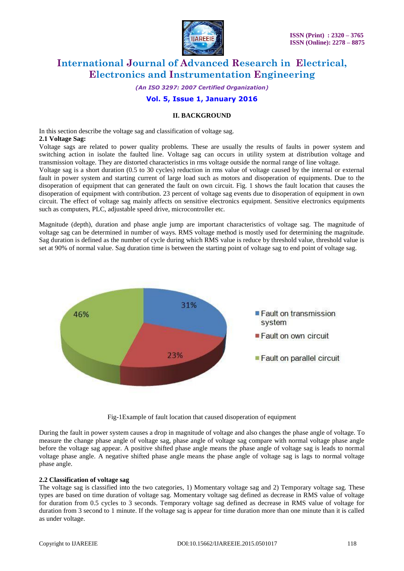

*(An ISO 3297: 2007 Certified Organization)*

# **Vol. 5, Issue 1, January 2016**

## **II. BACKGROUND**

In this section describe the voltage sag and classification of voltage sag. **2.1 Voltage Sag:**

Voltage sags are related to power quality problems. These are usually the results of faults in power system and switching action in isolate the faulted line. Voltage sag can occurs in utility system at distribution voltage and transmission voltage. They are distorted characteristics in rms voltage outside the normal range of line voltage.

Voltage sag is a short duration (0.5 to 30 cycles) reduction in rms value of voltage caused by the internal or external fault in power system and starting current of large load such as motors and disoperation of equipments. Due to the disoperation of equipment that can generated the fault on own circuit. Fig. 1 shows the fault location that causes the disoperation of equipment with contribution. 23 percent of voltage sag events due to disoperation of equipment in own circuit. The effect of voltage sag mainly affects on sensitive electronics equipment. Sensitive electronics equipments such as computers, PLC, adjustable speed drive, microcontroller etc.

Magnitude (depth), duration and phase angle jump are important characteristics of voltage sag. The magnitude of voltage sag can be determined in number of ways. RMS voltage method is mostly used for determining the magnitude. Sag duration is defined as the number of cycle during which RMS value is reduce by threshold value, threshold value is set at 90% of normal value. Sag duration time is between the starting point of voltage sag to end point of voltage sag.



Fig-1Example of fault location that caused disoperation of equipment

During the fault in power system causes a drop in magnitude of voltage and also changes the phase angle of voltage. To measure the change phase angle of voltage sag, phase angle of voltage sag compare with normal voltage phase angle before the voltage sag appear. A positive shifted phase angle means the phase angle of voltage sag is leads to normal voltage phase angle. A negative shifted phase angle means the phase angle of voltage sag is lags to normal voltage phase angle.

#### **2.2 Classification of voltage sag**

The voltage sag is classified into the two categories, 1) Momentary voltage sag and 2) Temporary voltage sag. These types are based on time duration of voltage sag. Momentary voltage sag defined as decrease in RMS value of voltage for duration from 0.5 cycles to 3 seconds. Temporary voltage sag defined as decrease in RMS value of voltage for duration from 3 second to 1 minute. If the voltage sag is appear for time duration more than one minute than it is called as under voltage.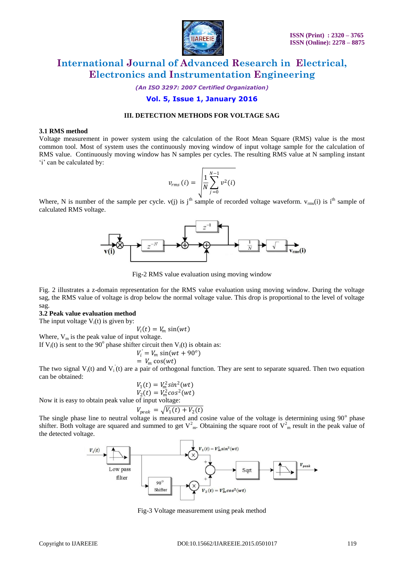

*(An ISO 3297: 2007 Certified Organization)*

# **Vol. 5, Issue 1, January 2016**

# **III. DETECTION METHODS FOR VOLTAGE SAG**

### **3.1 RMS method**

Voltage measurement in power system using the calculation of the Root Mean Square (RMS) value is the most common tool. Most of system uses the continuously moving window of input voltage sample for the calculation of RMS value. Continuously moving window has N samples per cycles. The resulting RMS value at N sampling instant 'i' can be calculated by:

$$
v_{rms}(i) = \sqrt{\frac{1}{N} \sum_{j=0}^{N-1} v^2(i)}
$$

Where, N is number of the sample per cycle. v(j) is j<sup>th</sup> sample of recorded voltage waveform.  $v_{rms}(i)$  is i<sup>th</sup> sample of calculated RMS voltage.



Fig-2 RMS value evaluation using moving window

Fig. 2 illustrates a z-domain representation for the RMS value evaluation using moving window. During the voltage sag, the RMS value of voltage is drop below the normal voltage value. This drop is proportional to the level of voltage sag.

#### **3.2 Peak value evaluation method**

The input voltage  $V_i(t)$  is given by:

$$
V_i(t) = V_m \sin(wt)
$$

Where,  $V_m$  is the peak value of input voltage. If  $V_i(t)$  is sent to the 90° phase shifter circuit then  $V_i(t)$  is obtain as:

$$
V_i' = V_m \sin(wt + 90^\circ)
$$

$$
V_i = V_m \sin(wt)
$$
  
=  $V_m \cos(wt)$ 

The two signal  $V_i(t)$  and  $V_i(t)$  are a pair of orthogonal function. They are sent to separate squared. Then two equation can be obtained:

$$
V_1(t) = V_m^2 \sin^2(wt)
$$
  
\n
$$
V_2(t) = V_m^2 \cos^2(wt)
$$

Now it is easy to obtain peak value of input voltage:

$$
V_{peak} = \sqrt{V_1(t) + V_2(t)}
$$

The single phase line to neutral voltage is measured and cosine value of the voltage is determining using  $90^\circ$  phase shifter. Both voltage are squared and summed to get  $V_{m}^{2}$ . Obtaining the square root of  $V_{m}^{2}$  result in the peak value of the detected voltage.



Fig-3 Voltage measurement using peak method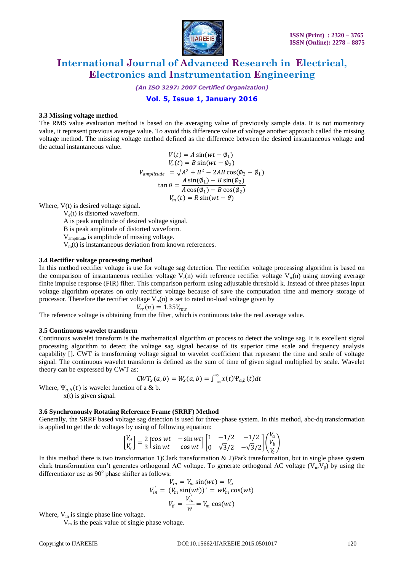

*(An ISO 3297: 2007 Certified Organization)*

# **Vol. 5, Issue 1, January 2016**

### **3.3 Missing voltage method**

The RMS value evaluation method is based on the averaging value of previously sample data. It is not momentary value, it represent previous average value. To avoid this difference value of voltage another approach called the missing voltage method. The missing voltage method defined as the difference between the desired instantaneous voltage and the actual instantaneous value.

$$
V(t) = A \sin(wt - \phi_1)
$$
  
\n
$$
V_e(t) = B \sin(wt - \phi_2)
$$
  
\n
$$
V_{amplitude} = \sqrt{A^2 + B^2 - 2AB \cos(\phi_2 - \phi_1)}
$$
  
\n
$$
\tan \theta = \frac{A \sin(\phi_1) - B \sin(\phi_2)}{A \cos(\phi_1) - B \cos(\phi_2)}
$$
  
\n
$$
V_m(t) = R \sin(wt - \theta)
$$

Where, V(t) is desired voltage signal.

 $V_e(t)$  is distorted waveform.

A is peak amplitude of desired voltage signal.

B is peak amplitude of distorted waveform.

Vamplitude is amplitude of missing voltage.

 $V_m(t)$  is instantaneous deviation from known references.

# **3.4 Rectifier voltage processing method**

In this method rectifier voltage is use for voltage sag detection. The rectifier voltage processing algorithm is based on the comparison of instantaneous rectifier voltage  $V_r(n)$  with reference rectifier voltage  $V_r(n)$  using moving average finite impulse response (FIR) filter. This comparison perform using adjustable threshold k. Instead of three phases input voltage algorithm operates on only rectifier voltage because of save the computation time and memory storage of processor. Therefore the rectifier voltage  $V_{rr}(n)$  is set to rated no-load voltage given by

$$
V_{rr}(n)=1.35V_{rms}
$$

The reference voltage is obtaining from the filter, which is continuous take the real average value.

#### **3.5 Continuous wavelet transform**

Continuous wavelet transform is the mathematical algorithm or process to detect the voltage sag. It is excellent signal processing algorithm to detect the voltage sag signal because of its superior time scale and frequency analysis capability []. CWT is transforming voltage signal to wavelet coefficient that represent the time and scale of voltage signal. The continuous wavelet transform is defined as the sum of time of given signal multiplied by scale. Wavelet theory can be expressed by CWT as:

$$
CWT_{x}(a,b) = W_{x}(a,b) = \int_{-\infty}^{\infty} x(t) \Psi_{a,b}(t) dt
$$

Where,  $\Psi_{a,b}(t)$  is wavelet function of a & b.

x(t) is given signal.

### **3.6 Synchronously Rotating Reference Frame (SRRF) Method**

Generally, the SRRF based voltage sag detection is used for three-phase system. In this method, abc-dq transformation is applied to get the dc voltages by using of following equation:  $\overline{r}$ 

$$
\begin{bmatrix} V_d \\ V_q \end{bmatrix} = \frac{2}{3} \begin{bmatrix} \cos wt & -\sin wt \\ \sin wt & \cos wt \end{bmatrix} \begin{bmatrix} 1 & -1/2 & -1/2 \\ 0 & \sqrt{3}/2 & -\sqrt{3}/2 \end{bmatrix} \begin{pmatrix} V_a \\ V_b \\ V_c \end{pmatrix}
$$

In this method there is two transformation 1)Clark transformation  $\&$  2)Park transformation, but in single phase system clark transformation can't generates orthogonal AC voltage. To generate orthogonal AC voltage ( $V_a$ , $V_b$ ) by using the differentiator use as  $90^{\circ}$  phase shifter as follows:

$$
V_{in} = V_m \sin(wt) = V_\alpha
$$
  

$$
V_{in} = (V_m \sin(wt))' = wV_m \cos(wt)
$$
  

$$
V_\beta = \frac{V_{in}}{w} = V_m \cos(wt)
$$

Where,  $V_{in}$  is single phase line voltage.

V<sup>m</sup> is the peak value of single phase voltage.